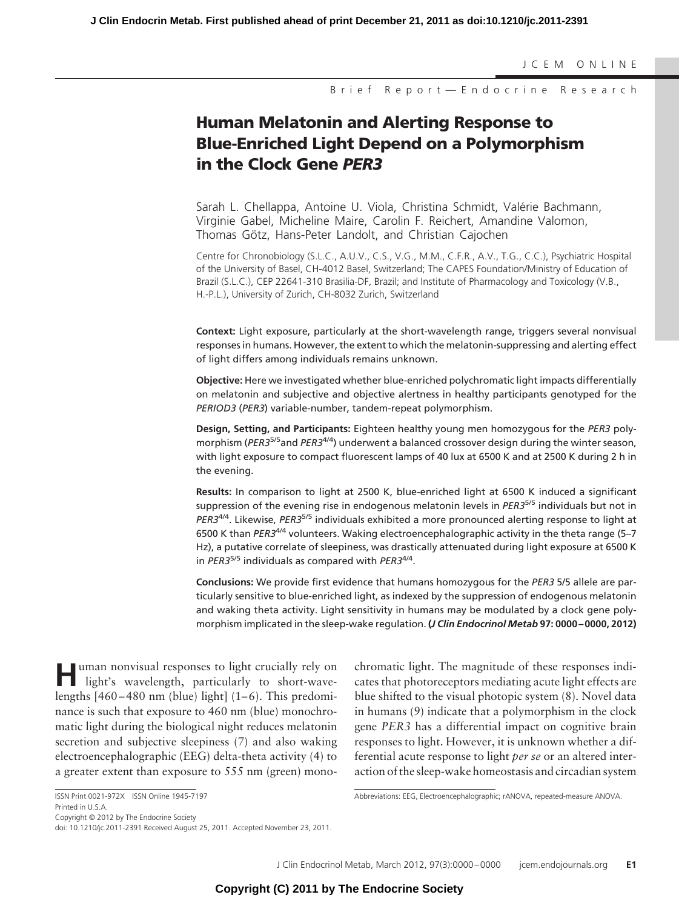JCEM ONLINE

Brief Report—Endocrine Research

# **Human Melatonin and Alerting Response to Blue-Enriched Light Depend on a Polymorphism in the Clock Gene** *PER3*

Sarah L. Chellappa, Antoine U. Viola, Christina Schmidt, Valérie Bachmann, Virginie Gabel, Micheline Maire, Carolin F. Reichert, Amandine Valomon, Thomas Götz, Hans-Peter Landolt, and Christian Cajochen

Centre for Chronobiology (S.L.C., A.U.V., C.S., V.G., M.M., C.F.R., A.V., T.G., C.C.), Psychiatric Hospital of the University of Basel, CH-4012 Basel, Switzerland; The CAPES Foundation/Ministry of Education of Brazil (S.L.C.), CEP 22641-310 Brasilia-DF, Brazil; and Institute of Pharmacology and Toxicology (V.B., H.-P.L.), University of Zurich, CH-8032 Zurich, Switzerland

**Context:** Light exposure, particularly at the short-wavelength range, triggers several nonvisual responses in humans. However, the extent to which the melatonin-suppressing and alerting effect of light differs among individuals remains unknown.

**Objective:** Here we investigated whether blue-enriched polychromatic light impacts differentially on melatonin and subjective and objective alertness in healthy participants genotyped for the *PERIOD3* (*PER3*) variable-number, tandem-repeat polymorphism.

**Design, Setting, and Participants:** Eighteen healthy young men homozygous for the *PER3* polymorphism (*PER3*5/5and *PER3*4/4) underwent a balanced crossover design during the winter season, with light exposure to compact fluorescent lamps of 40 lux at 6500 K and at 2500 K during 2 h in the evening.

**Results:** In comparison to light at 2500 K, blue-enriched light at 6500 K induced a significant suppression of the evening rise in endogenous melatonin levels in *PER3*5/5 individuals but not in *PER3*4/4. Likewise, *PER3*5/5 individuals exhibited a more pronounced alerting response to light at 6500 K than *PER3*4/4 volunteers. Waking electroencephalographic activity in the theta range (5–7 Hz), a putative correlate of sleepiness, was drastically attenuated during light exposure at 6500 K in *PER3*5/5 individuals as compared with *PER3*4/4.

**Conclusions:** We provide first evidence that humans homozygous for the *PER3* 5/5 allele are particularly sensitive to blue-enriched light, as indexed by the suppression of endogenous melatonin and waking theta activity. Light sensitivity in humans may be modulated by a clock gene polymorphism implicated in the sleep-wake regulation. **(***J Clin Endocrinol Metab* **97: 0000 – 0000, 2012)**

**H**uman nonvisual responses to light crucially rely on light's wavelength, particularly to short-wavelengths  $[460 - 480$  nm (blue) light]  $(1-6)$ . This predominance is such that exposure to 460 nm (blue) monochromatic light during the biological night reduces melatonin secretion and subjective sleepiness (7) and also waking electroencephalographic (EEG) delta-theta activity (4) to a greater extent than exposure to 555 nm (green) mono-

chromatic light. The magnitude of these responses indicates that photoreceptors mediating acute light effects are blue shifted to the visual photopic system (8). Novel data in humans (9) indicate that a polymorphism in the clock gene *PER3* has a differential impact on cognitive brain responses to light. However, it is unknown whether a differential acute response to light *per se* or an altered interaction of the sleep-wake homeostasis and circadian system

Copyright © 2012 by The Endocrine Society

ISSN Print 0021-972X ISSN Online 1945-7197 Printed in U.S.A.

Abbreviations: EEG, Electroencephalographic; rANOVA, repeated-measure ANOVA.

doi: 10.1210/jc.2011-2391 Received August 25, 2011. Accepted November 23, 2011.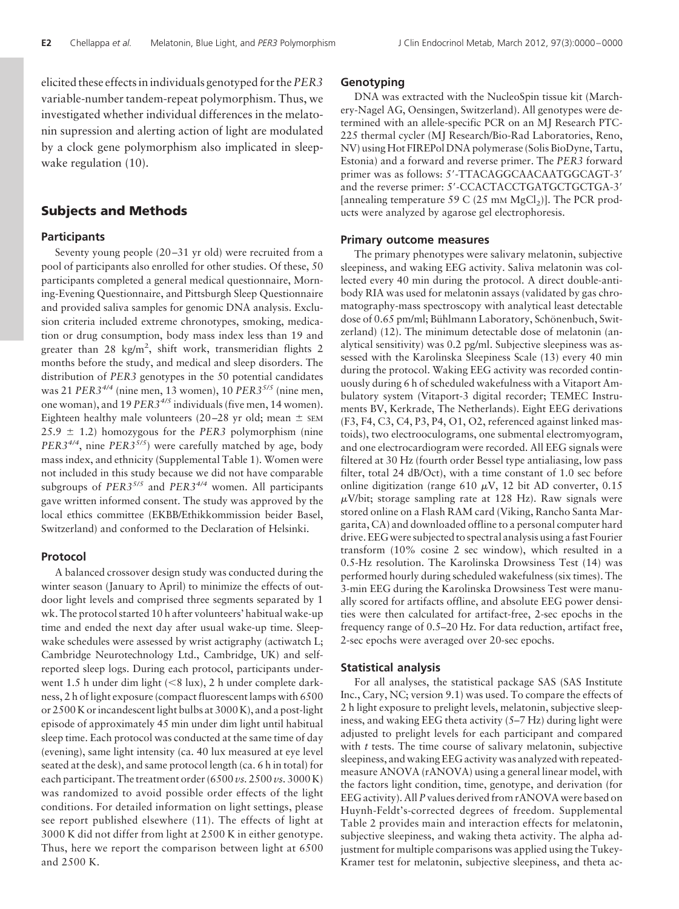elicited these effects in individuals genotyped for the*PER3* variable-number tandem-repeat polymorphism. Thus, we investigated whether individual differences in the melatonin supression and alerting action of light are modulated by a clock gene polymorphism also implicated in sleepwake regulation (10).

# **Subjects and Methods**

#### **Participants**

Seventy young people (20 –31 yr old) were recruited from a pool of participants also enrolled for other studies. Of these, 50 participants completed a general medical questionnaire, Morning-Evening Questionnaire, and Pittsburgh Sleep Questionnaire and provided saliva samples for genomic DNA analysis. Exclusion criteria included extreme chronotypes, smoking, medication or drug consumption, body mass index less than 19 and greater than  $28 \text{ kg/m}^2$ , shift work, transmeridian flights 2 months before the study, and medical and sleep disorders. The distribution of *PER3* genotypes in the 50 potential candidates was 21 *PER34/4* (nine men, 13 women), 10 *PER35/5* (nine men, one woman), and 19 *PER34/5* individuals (five men, 14 women). Eighteen healthy male volunteers (20–28 yr old; mean  $\pm$  sEM  $25.9 \pm 1.2$ ) homozygous for the *PER3* polymorphism (nine *PER3<sup>4/4</sup>*, nine *PER3<sup>5/5</sup>*) were carefully matched by age, body mass index, and ethnicity (Supplemental Table 1). Women were not included in this study because we did not have comparable subgroups of *PER35/5* and *PER34/4* women. All participants gave written informed consent. The study was approved by the local ethics committee (EKBB/Ethikkommission beider Basel, Switzerland) and conformed to the Declaration of Helsinki.

#### **Protocol**

A balanced crossover design study was conducted during the winter season (January to April) to minimize the effects of outdoor light levels and comprised three segments separated by 1 wk. The protocol started 10 h after volunteers' habitual wake-up time and ended the next day after usual wake-up time. Sleepwake schedules were assessed by wrist actigraphy (actiwatch L; Cambridge Neurotechnology Ltd., Cambridge, UK) and selfreported sleep logs. During each protocol, participants underwent 1.5 h under dim light (<8 lux), 2 h under complete darkness, 2 h of light exposure (compact fluorescent lamps with 6500 or 2500 K or incandescent light bulbs at 3000 K), and a post-light episode of approximately 45 min under dim light until habitual sleep time. Each protocol was conducted at the same time of day (evening), same light intensity (ca. 40 lux measured at eye level seated at the desk), and same protocol length (ca. 6 h in total) for each participant. The treatment order (6500 *vs.* 2500 *vs.* 3000 K) was randomized to avoid possible order effects of the light conditions. For detailed information on light settings, please see report published elsewhere (11). The effects of light at 3000 K did not differ from light at 2500 K in either genotype. Thus, here we report the comparison between light at 6500 and 2500 K.

# **Genotyping**

DNA was extracted with the NucleoSpin tissue kit (Marchery-Nagel AG, Oensingen, Switzerland). All genotypes were determined with an allele-specific PCR on an MJ Research PTC-225 thermal cycler (MJ Research/Bio-Rad Laboratories, Reno, NV) using Hot FIREPol DNA polymerase (Solis BioDyne, Tartu, Estonia) and a forward and reverse primer. The *PER3* forward primer was as follows: 5'-TTACAGGCAACAATGGCAGT-3' and the reverse primer: 5'-CCACTACCTGATGCTGCTGA-3' [annealing temperature 59 C (25 mm  $MgCl<sub>2</sub>$ )]. The PCR products were analyzed by agarose gel electrophoresis.

#### **Primary outcome measures**

The primary phenotypes were salivary melatonin, subjective sleepiness, and waking EEG activity. Saliva melatonin was collected every 40 min during the protocol. A direct double-antibody RIA was used for melatonin assays (validated by gas chromatography-mass spectroscopy with analytical least detectable dose of 0.65 pm/ml; Bühlmann Laboratory, Schönenbuch, Switzerland) (12). The minimum detectable dose of melatonin (analytical sensitivity) was 0.2 pg/ml. Subjective sleepiness was assessed with the Karolinska Sleepiness Scale (13) every 40 min during the protocol. Waking EEG activity was recorded continuously during 6 h of scheduled wakefulness with a Vitaport Ambulatory system (Vitaport-3 digital recorder; TEMEC Instruments BV, Kerkrade, The Netherlands). Eight EEG derivations (F3, F4, C3, C4, P3, P4, O1, O2, referenced against linked mastoids), two electrooculograms, one submental electromyogram, and one electrocardiogram were recorded. All EEG signals were filtered at 30 Hz (fourth order Bessel type antialiasing, low pass filter, total 24 dB/Oct), with a time constant of 1.0 sec before online digitization (range 610  $\mu$ V, 12 bit AD converter, 0.15  $\mu$ V/bit; storage sampling rate at 128 Hz). Raw signals were stored online on a Flash RAM card (Viking, Rancho Santa Margarita, CA) and downloaded offline to a personal computer hard drive. EEG were subjected to spectral analysis using a fast Fourier transform (10% cosine 2 sec window), which resulted in a 0.5-Hz resolution. The Karolinska Drowsiness Test (14) was performed hourly during scheduled wakefulness (six times). The 3-min EEG during the Karolinska Drowsiness Test were manually scored for artifacts offline, and absolute EEG power densities were then calculated for artifact-free, 2-sec epochs in the frequency range of 0.5–20 Hz. For data reduction, artifact free, 2-sec epochs were averaged over 20-sec epochs.

#### **Statistical analysis**

For all analyses, the statistical package SAS (SAS Institute Inc., Cary, NC; version 9.1) was used. To compare the effects of 2 h light exposure to prelight levels, melatonin, subjective sleepiness, and waking EEG theta activity (5–7 Hz) during light were adjusted to prelight levels for each participant and compared with *t* tests. The time course of salivary melatonin, subjective sleepiness, and waking EEG activity was analyzed with repeatedmeasure ANOVA (rANOVA) using a general linear model, with the factors light condition, time, genotype, and derivation (for EEG activity). All *P* values derived from rANOVA were based on Huynh-Feldt's-corrected degrees of freedom. Supplemental Table 2 provides main and interaction effects for melatonin, subjective sleepiness, and waking theta activity. The alpha adjustment for multiple comparisons was applied using the Tukey-Kramer test for melatonin, subjective sleepiness, and theta ac-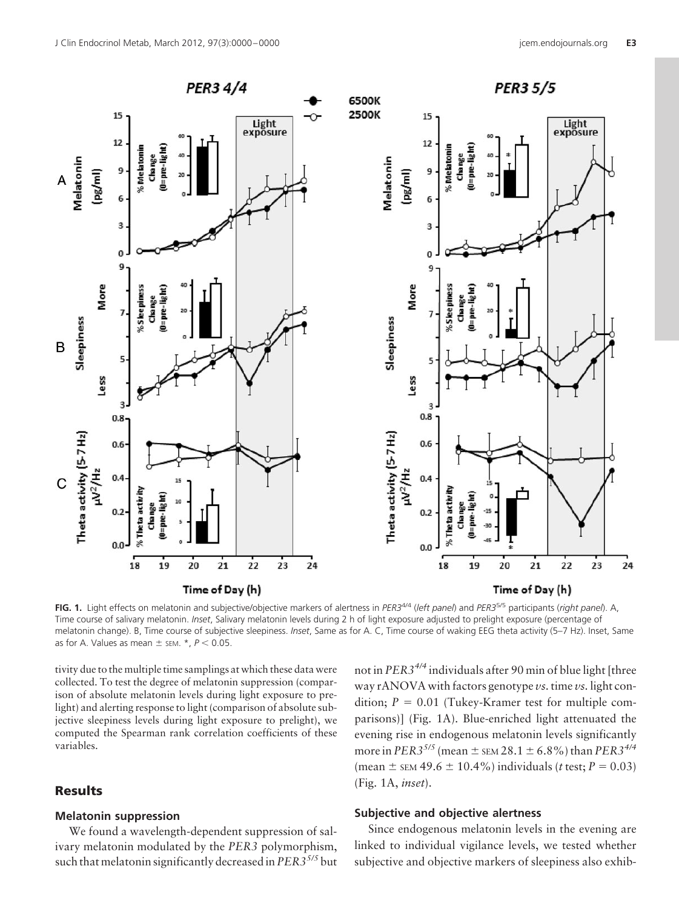

**FIG. 1.** Light effects on melatonin and subjective/objective markers of alertness in *PER3*4/4 (*left panel*) and *PER3*5/5 participants (*right panel*). A, Time course of salivary melatonin. *Inset*, Salivary melatonin levels during 2 h of light exposure adjusted to prelight exposure (percentage of melatonin change). B, Time course of subjective sleepiness. *Inset*, Same as for A. C, Time course of waking EEG theta activity (5–7 Hz). Inset, Same as for A. Values as mean  $\pm$  sem.  $*$ ,  $P < 0.05$ .

tivity due to the multiple time samplings at which these data were collected. To test the degree of melatonin suppression (comparison of absolute melatonin levels during light exposure to prelight) and alerting response to light (comparison of absolute subjective sleepiness levels during light exposure to prelight), we computed the Spearman rank correlation coefficients of these variables.

# **Results**

# **Melatonin suppression**

We found a wavelength-dependent suppression of salivary melatonin modulated by the *PER3* polymorphism, such that melatonin significantly decreased in*PER35/5* but not in *PER34/4* individuals after 90 min of blue light [three way rANOVA with factors genotype *vs.*time *vs.* light condition;  $P = 0.01$  (Tukey-Kramer test for multiple comparisons)] (Fig. 1A). Blue-enriched light attenuated the evening rise in endogenous melatonin levels significantly more in *PER3<sup>5/5</sup>* (mean  $\pm$  sem 28.1  $\pm$  6.8%) than *PER3<sup>4/4</sup>*  $(\text{mean} \pm \text{sem } 49.6 \pm 10.4\%)$  individuals (*t* test; *P* = 0.03) (Fig. 1A, *inset*).

# **Subjective and objective alertness**

Since endogenous melatonin levels in the evening are linked to individual vigilance levels, we tested whether subjective and objective markers of sleepiness also exhib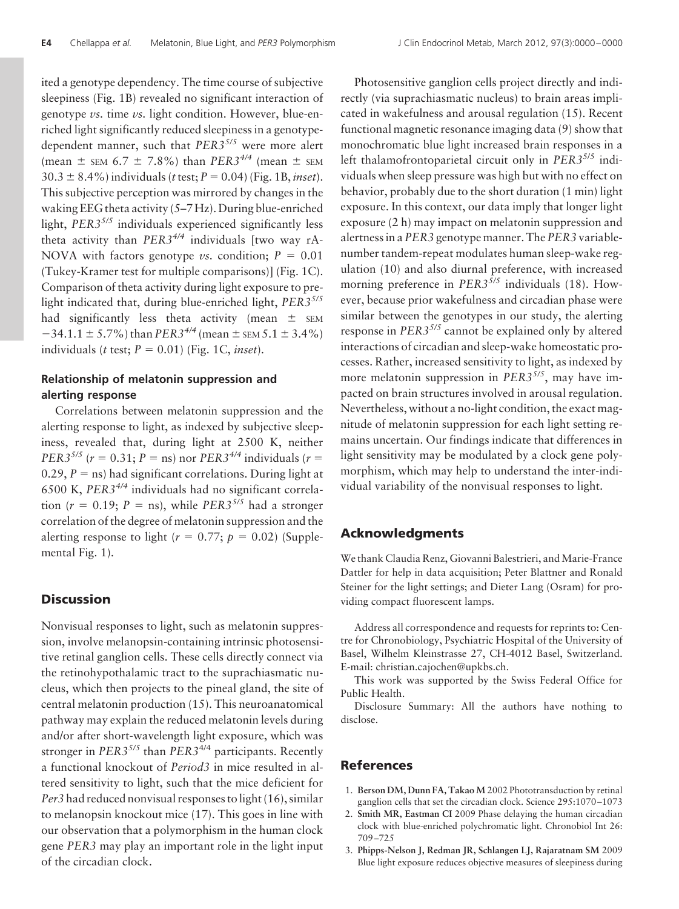ited a genotype dependency. The time course of subjective sleepiness (Fig. 1B) revealed no significant interaction of genotype *vs.* time *vs.* light condition. However, blue-enriched light significantly reduced sleepiness in a genotypedependent manner, such that *PER35/5* were more alert (mean  $\pm$  sem 6.7  $\pm$  7.8%) than *PER3<sup>4/4</sup>* (mean  $\pm$  sem  $30.3 \pm 8.4\%$ ) individuals (*t* test;  $P = 0.04$ ) (Fig. 1B, *inset*). This subjective perception was mirrored by changes in the waking EEG theta activity (5–7 Hz). During blue-enriched light, *PER35/5* individuals experienced significantly less theta activity than *PER34/4* individuals [two way rA-NOVA with factors genotype *vs.* condition;  $P = 0.01$ (Tukey-Kramer test for multiple comparisons)] (Fig. 1C). Comparison of theta activity during light exposure to prelight indicated that, during blue-enriched light, *PER35/5* had significantly less theta activity (mean  $\pm$  sEM  $-34.1.1 \pm 5.7\%$ ) than *PER*3<sup>4/4</sup> (mean  $\pm$  sEM 5.1  $\pm$  3.4%) individuals (*t* test;  $P = 0.01$ ) (Fig. 1C, *inset*).

# **Relationship of melatonin suppression and alerting response**

Correlations between melatonin suppression and the alerting response to light, as indexed by subjective sleepiness, revealed that, during light at 2500 K, neither *PER3*<sup>5/5</sup> ( $r = 0.31; P = \text{ns}$ ) nor *PER3*<sup>4/4</sup> individuals ( $r =$ 0.29,  $P =$ ns) had significant correlations. During light at 6500 K, *PER34/4* individuals had no significant correlation ( $r = 0.19$ ;  $P = \text{ns}$ ), while *PER3<sup>5/5</sup>* had a stronger correlation of the degree of melatonin suppression and the alerting response to light ( $r = 0.77$ ;  $p = 0.02$ ) (Supplemental Fig. 1).

## **Discussion**

Nonvisual responses to light, such as melatonin suppression, involve melanopsin-containing intrinsic photosensitive retinal ganglion cells. These cells directly connect via the retinohypothalamic tract to the suprachiasmatic nucleus, which then projects to the pineal gland, the site of central melatonin production (15). This neuroanatomical pathway may explain the reduced melatonin levels during and/or after short-wavelength light exposure, which was stronger in *PER35/5* than *PER3*4/4 participants. Recently a functional knockout of *Period3* in mice resulted in altered sensitivity to light, such that the mice deficient for *Per3* had reduced nonvisual responses to light (16), similar to melanopsin knockout mice (17). This goes in line with our observation that a polymorphism in the human clock gene *PER3* may play an important role in the light input of the circadian clock.

Photosensitive ganglion cells project directly and indirectly (via suprachiasmatic nucleus) to brain areas implicated in wakefulness and arousal regulation (15). Recent functional magnetic resonance imaging data (9) show that monochromatic blue light increased brain responses in a left thalamofrontoparietal circuit only in *PER3*5/5 individuals when sleep pressure was high but with no effect on behavior, probably due to the short duration (1 min) light exposure. In this context, our data imply that longer light exposure (2 h) may impact on melatonin suppression and alertness in a *PER3* genotype manner. The *PER3* variablenumber tandem-repeat modulates human sleep-wake regulation (10) and also diurnal preference, with increased morning preference in *PER35/5* individuals (18). However, because prior wakefulness and circadian phase were similar between the genotypes in our study, the alerting response in *PER35/5* cannot be explained only by altered interactions of circadian and sleep-wake homeostatic processes. Rather, increased sensitivity to light, as indexed by more melatonin suppression in *PER35/5*, may have impacted on brain structures involved in arousal regulation. Nevertheless, without a no-light condition, the exact magnitude of melatonin suppression for each light setting remains uncertain. Our findings indicate that differences in light sensitivity may be modulated by a clock gene polymorphism, which may help to understand the inter-individual variability of the nonvisual responses to light.

# **Acknowledgments**

We thank Claudia Renz, Giovanni Balestrieri, and Marie-France Dattler for help in data acquisition; Peter Blattner and Ronald Steiner for the light settings; and Dieter Lang (Osram) for providing compact fluorescent lamps.

Address all correspondence and requests for reprints to: Centre for Chronobiology, Psychiatric Hospital of the University of Basel, Wilhelm Kleinstrasse 27, CH-4012 Basel, Switzerland. E-mail: christian.cajochen@upkbs.ch.

This work was supported by the Swiss Federal Office for Public Health.

Disclosure Summary: All the authors have nothing to disclose.

### **References**

- 1. **Berson DM, Dunn FA, Takao M** 2002 Phototransduction by retinal ganglion cells that set the circadian clock. Science 295:1070 –1073
- 2. **Smith MR, Eastman CI** 2009 Phase delaying the human circadian clock with blue-enriched polychromatic light. Chronobiol Int 26: 709 –725
- 3. **Phipps-Nelson J, Redman JR, Schlangen LJ, Rajaratnam SM** 2009 Blue light exposure reduces objective measures of sleepiness during